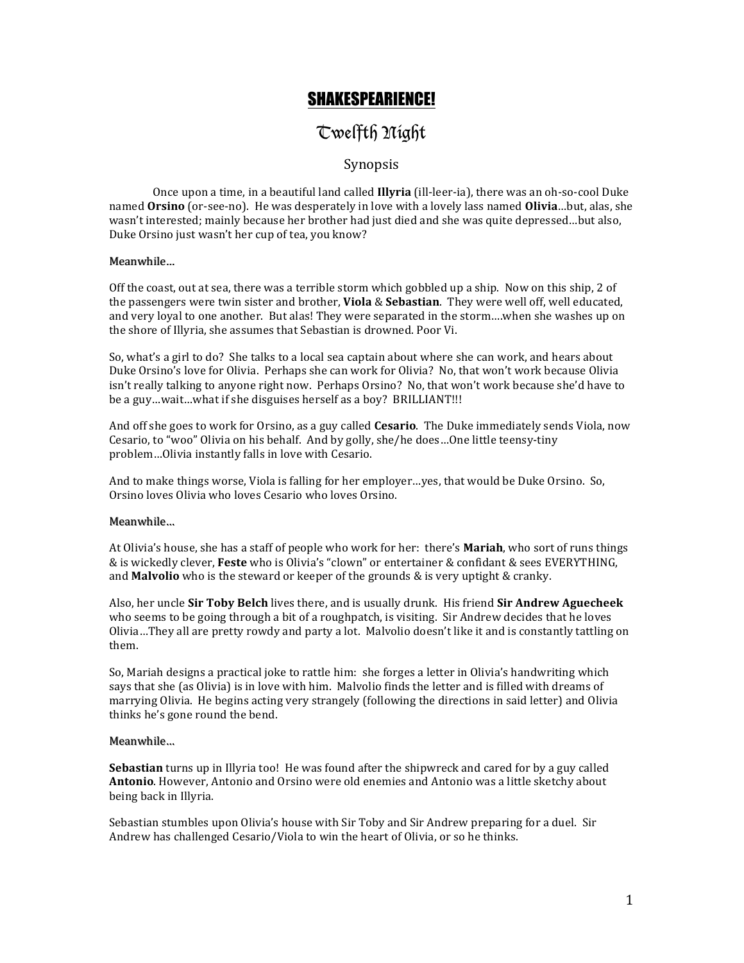## SHAKESPEARIENCE!

# Twelfth Night

### Synopsis

Once upon a time, in a beautiful land called **Illyria** (ill-leer-ia), there was an oh-so-cool Duke named **Orsino** (or-see-no). He was desperately in love with a lovely lass named **Olivia**...but, alas, she wasn't interested; mainly because her brother had just died and she was quite depressed...but also, Duke Orsino just wasn't her cup of tea, you know?

#### Meanwhile…

Off the coast, out at sea, there was a terrible storm which gobbled up a ship. Now on this ship, 2 of the passengers were twin sister and brother, **Viola** & Sebastian. They were well off, well educated, and very loyal to one another. But alas! They were separated in the storm....when she washes up on the shore of Illyria, she assumes that Sebastian is drowned. Poor Vi.

So, what's a girl to do? She talks to a local sea captain about where she can work, and hears about Duke Orsino's love for Olivia. Perhaps she can work for Olivia? No, that won't work because Olivia isn't really talking to anyone right now. Perhaps Orsino? No, that won't work because she'd have to be a guy...wait...what if she disguises herself as a boy? BRILLIANT!!!

And off she goes to work for Orsino, as a guy called **Cesario**. The Duke immediately sends Viola, now Cesario, to "woo" Olivia on his behalf. And by golly, she/he does...One little teensy-tiny problem...Olivia instantly falls in love with Cesario.

And to make things worse, Viola is falling for her employer...yes, that would be Duke Orsino. So, Orsino loves Olivia who loves Cesario who loves Orsino.

#### Meanwhile…

At Olivia's house, she has a staff of people who work for her: there's Mariah, who sort of runs things  $&$  is wickedly clever, Feste who is Olivia's "clown" or entertainer  $&$  confidant  $&$  sees EVERYTHING, and **Malvolio** who is the steward or keeper of the grounds & is very uptight & cranky.

Also, her uncle Sir Toby Belch lives there, and is usually drunk. His friend Sir Andrew Aguecheek who seems to be going through a bit of a roughpatch, is visiting. Sir Andrew decides that he loves Olivia...They all are pretty rowdy and party a lot. Malvolio doesn't like it and is constantly tattling on them.

So, Mariah designs a practical joke to rattle him: she forges a letter in Olivia's handwriting which says that she (as Olivia) is in love with him. Malvolio finds the letter and is filled with dreams of marrying Olivia. He begins acting very strangely (following the directions in said letter) and Olivia thinks he's gone round the bend.

#### Meanwhile…

**Sebastian** turns up in Illyria too! He was found after the shipwreck and cared for by a guy called Antonio. However, Antonio and Orsino were old enemies and Antonio was a little sketchy about being back in Illyria.

Sebastian stumbles upon Olivia's house with Sir Toby and Sir Andrew preparing for a duel. Sir Andrew has challenged Cesario/Viola to win the heart of Olivia, or so he thinks.